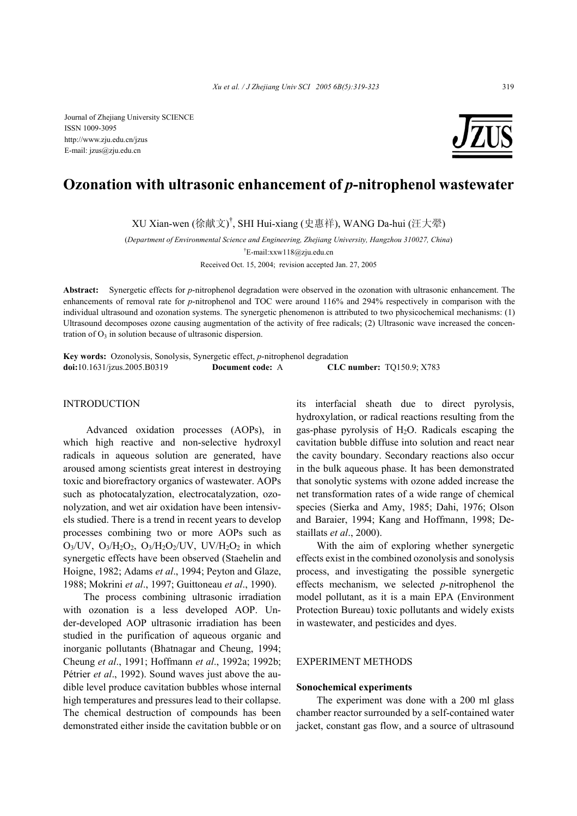Journal of Zhejiang University SCIENCE ISSN 1009-3095 http://www.zju.edu.cn/jzus E-mail: jzus@zju.edu.cn



# **Ozonation with ultrasonic enhancement of** *p***-nitrophenol wastewater**

XU Xian-wen (徐献文) † , SHI Hui-xiang (史惠祥), WANG Da-hui (汪大翚)

(*Department of Environmental Science and Engineering, Zhejiang University, Hangzhou 310027, China*) † E-mail:xxw118@zju.edu.cn Received Oct. 15, 2004; revision accepted Jan. 27, 2005

**Abstract:** Synergetic effects for *p*-nitrophenol degradation were observed in the ozonation with ultrasonic enhancement. The enhancements of removal rate for *p*-nitrophenol and TOC were around 116% and 294% respectively in comparison with the individual ultrasound and ozonation systems. The synergetic phenomenon is attributed to two physicochemical mechanisms: (1) Ultrasound decomposes ozone causing augmentation of the activity of free radicals; (2) Ultrasonic wave increased the concentration of  $O<sub>3</sub>$  in solution because of ultrasonic dispersion.

**Key words:** Ozonolysis, Sonolysis, Synergetic effect, *p*-nitrophenol degradation **doi:**10.1631/jzus.2005.B0319 **Document code:** A **CLC number:** TQ150.9; X783

# INTRODUCTION

 Advanced oxidation processes (AOPs), in which high reactive and non-selective hydroxyl radicals in aqueous solution are generated, have aroused among scientists great interest in destroying toxic and biorefractory organics of wastewater. AOPs such as photocatalyzation, electrocatalyzation, ozonolyzation, and wet air oxidation have been intensivels studied. There is a trend in recent years to develop processes combining two or more AOPs such as  $O_3$ /UV,  $O_3$ /H<sub>2</sub>O<sub>2</sub>,  $O_3$ /H<sub>2</sub>O<sub>2</sub>/UV, UV/H<sub>2</sub>O<sub>2</sub> in which synergetic effects have been observed (Staehelin and Hoigne, 1982; Adams *et al*., 1994; Peyton and Glaze, 1988; Mokrini *et al*., 1997; Guittoneau *et al*., 1990).

The process combining ultrasonic irradiation with ozonation is a less developed AOP. Under-developed AOP ultrasonic irradiation has been studied in the purification of aqueous organic and inorganic pollutants (Bhatnagar and Cheung, 1994; Cheung *et al*., 1991; Hoffmann *et al*., 1992a; 1992b; Pétrier *et al.*, 1992). Sound waves just above the audible level produce cavitation bubbles whose internal high temperatures and pressures lead to their collapse. The chemical destruction of compounds has been demonstrated either inside the cavitation bubble or on

its interfacial sheath due to direct pyrolysis, hydroxylation, or radical reactions resulting from the gas-phase pyrolysis of  $H<sub>2</sub>O$ . Radicals escaping the cavitation bubble diffuse into solution and react near the cavity boundary. Secondary reactions also occur in the bulk aqueous phase. It has been demonstrated that sonolytic systems with ozone added increase the net transformation rates of a wide range of chemical species (Sierka and Amy, 1985; Dahi, 1976; Olson and Baraier, 1994; Kang and Hoffmann, 1998; Destaillats *et al*., 2000).

With the aim of exploring whether synergetic effects exist in the combined ozonolysis and sonolysis process, and investigating the possible synergetic effects mechanism, we selected *p*-nitrophenol the model pollutant, as it is a main EPA (Environment Protection Bureau) toxic pollutants and widely exists in wastewater, and pesticides and dyes.

## EXPERIMENT METHODS

#### **Sonochemical experiments**

The experiment was done with a 200 ml glass chamber reactor surrounded by a self-contained water jacket, constant gas flow, and a source of ultrasound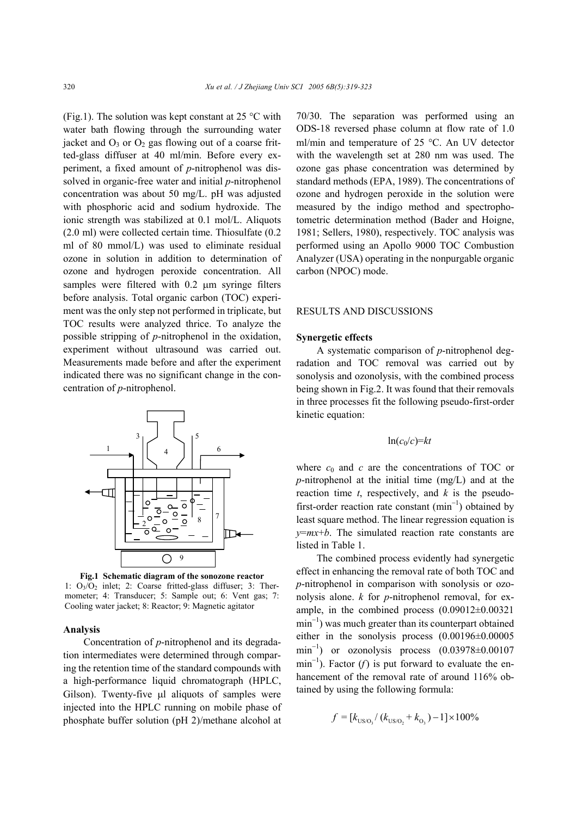(Fig.1). The solution was kept constant at 25  $\degree$ C with water bath flowing through the surrounding water jacket and  $O_3$  or  $O_2$  gas flowing out of a coarse fritted-glass diffuser at 40 ml/min. Before every experiment, a fixed amount of *p*-nitrophenol was dissolved in organic-free water and initial *p*-nitrophenol concentration was about 50 mg/L. pH was adjusted with phosphoric acid and sodium hydroxide. The ionic strength was stabilized at 0.1 mol/L. Aliquots (2.0 ml) were collected certain time. Thiosulfate (0.2 ml of 80 mmol/L) was used to eliminate residual ozone in solution in addition to determination of ozone and hydrogen peroxide concentration. All samples were filtered with 0.2  $\mu$ m syringe filters before analysis. Total organic carbon (TOC) experiment was the only step not performed in triplicate, but TOC results were analyzed thrice. To analyze the possible stripping of *p*-nitrophenol in the oxidation, experiment without ultrasound was carried out. Measurements made before and after the experiment indicated there was no significant change in the concentration of *p*-nitrophenol.



**Fig.1 Schematic diagram of the sonozone reactor**  1:  $O_3/\overline{O}_2$  inlet; 2: Coarse fritted-glass diffuser; 3: Thermometer; 4: Transducer; 5: Sample out; 6: Vent gas; 7: Cooling water jacket; 8: Reactor; 9: Magnetic agitator

#### **Analysis**

Concentration of *p*-nitrophenol and its degradation intermediates were determined through comparing the retention time of the standard compounds with a high-performance liquid chromatograph (HPLC, Gilson). Twenty-five µl aliquots of samples were injected into the HPLC running on mobile phase of phosphate buffer solution (pH 2)/methane alcohol at

70/30. The separation was performed using an ODS-18 reversed phase column at flow rate of 1.0 ml/min and temperature of 25 °C. An UV detector with the wavelength set at 280 nm was used. The ozone gas phase concentration was determined by standard methods (EPA, 1989). The concentrations of ozone and hydrogen peroxide in the solution were measured by the indigo method and spectrophotometric determination method (Bader and Hoigne, 1981; Sellers, 1980), respectively. TOC analysis was performed using an Apollo 9000 TOC Combustion Analyzer (USA) operating in the nonpurgable organic carbon (NPOC) mode.

## RESULTS AND DISCUSSIONS

## **Synergetic effects**

A systematic comparison of *p*-nitrophenol degradation and TOC removal was carried out by sonolysis and ozonolysis, with the combined process being shown in Fig.2. It was found that their removals in three processes fit the following pseudo-first-order kinetic equation:

# $ln(c_0/c)=kt$

where  $c_0$  and  $c$  are the concentrations of TOC or *p*-nitrophenol at the initial time (mg/L) and at the reaction time *t*, respectively, and *k* is the pseudofirst-order reaction rate constant  $(min^{-1})$  obtained by least square method. The linear regression equation is *y*=*mx*+*b*. The simulated reaction rate constants are listed in Table 1.

The combined process evidently had synergetic effect in enhancing the removal rate of both TOC and *p*-nitrophenol in comparison with sonolysis or ozonolysis alone. *k* for *p*-nitrophenol removal, for example, in the combined process (0.09012±0.00321 min<sup>-1</sup>) was much greater than its counterpart obtained either in the sonolysis process (0.00196±0.00005  $\text{min}^{-1}$ ) or ozonolysis process  $(0.03978\pm0.00107)$ min<sup>-1</sup>). Factor (*f*) is put forward to evaluate the enhancement of the removal rate of around 116% obtained by using the following formula:

$$
f = [k_{\rm US/O_3}/(k_{\rm US/O_2} + k_{\rm O_3}) - 1] \times 100\%
$$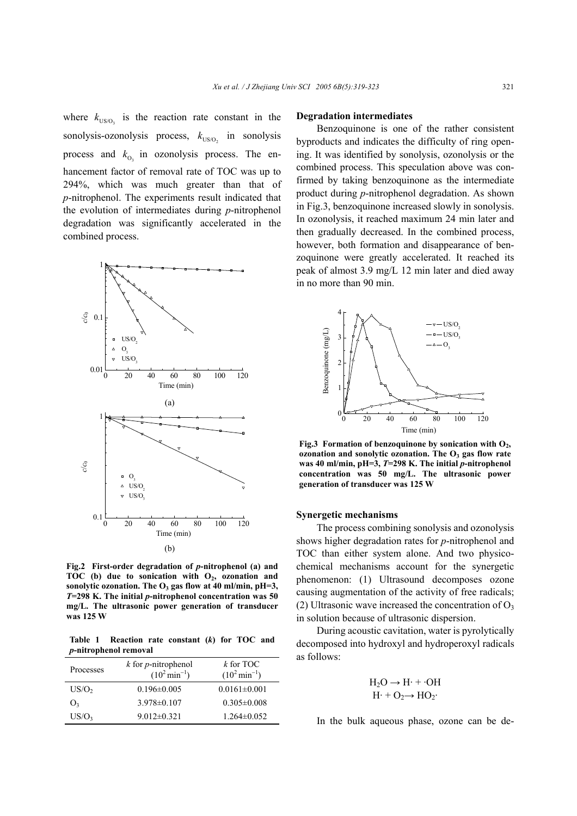where  $k_{US/O}$  is the reaction rate constant in the sonolysis-ozonolysis process,  $k_{\text{US/O},}$  in sonolysis process and  $k_{0}$  in ozonolysis process. The enhancement factor of removal rate of TOC was up to 294%, which was much greater than that of *p*-nitrophenol. The experiments result indicated that the evolution of intermediates during *p*-nitrophenol degradation was significantly accelerated in the combined process.



**Fig.2 First-order degradation of** *p***-nitrophenol (a) and** TOC (b) due to sonication with O<sub>2</sub>, ozonation and **sonolytic ozonation. The O3 gas flow at 40 ml/min, pH=3,** *T***=298 K. The initial** *p***-nitrophenol concentration was 50 mg/L. The ultrasonic power generation of transducer was 125 W**

**Table 1 Reaction rate constant (***k***) for TOC and**  *p***-nitrophenol removal**

| Processes         | $k$ for <i>p</i> -nitrophenol<br>$(10^2 \text{min}^{-1})$ | $k$ for TOC<br>$(10^2 \text{min}^{-1})$ |
|-------------------|-----------------------------------------------------------|-----------------------------------------|
| US/O <sub>2</sub> | $0.196 \pm 0.005$                                         | $0.0161 \pm 0.001$                      |
| O <sub>3</sub>    | $3.978\pm0.107$                                           | $0.305 \pm 0.008$                       |
| US/O <sub>3</sub> | $9.012 \pm 0.321$                                         | $1.264 \pm 0.052$                       |

#### **Degradation intermediates**

Benzoquinone is one of the rather consistent byproducts and indicates the difficulty of ring opening. It was identified by sonolysis, ozonolysis or the combined process. This speculation above was confirmed by taking benzoquinone as the intermediate product during *p*-nitrophenol degradation. As shown in Fig.3, benzoquinone increased slowly in sonolysis. In ozonolysis, it reached maximum 24 min later and then gradually decreased. In the combined process, however, both formation and disappearance of benzoquinone were greatly accelerated. It reached its peak of almost 3.9 mg/L 12 min later and died away in no more than 90 min.



Fig.3 Formation of benzoquinone by sonication with O<sub>2</sub>, **ozonation and sonolytic ozonation. The O3 gas flow rate was 40 ml/min, pH=3,** *T***=298 K. The initial** *p***-nitrophenol concentration was 50 mg/L. The ultrasonic power generation of transducer was 125 W**

#### **Synergetic mechanisms**

The process combining sonolysis and ozonolysis shows higher degradation rates for *p*-nitrophenol and TOC than either system alone. And two physicochemical mechanisms account for the synergetic phenomenon: (1) Ultrasound decomposes ozone causing augmentation of the activity of free radicals; (2) Ultrasonic wave increased the concentration of  $O_3$ in solution because of ultrasonic dispersion.

During acoustic cavitation, water is pyrolytically decomposed into hydroxyl and hydroperoxyl radicals as follows:

$$
H_2O \to H \cdot + \cdot OH
$$
  

$$
H \cdot + O_2 \to HO_2 \cdot
$$

In the bulk aqueous phase, ozone can be de-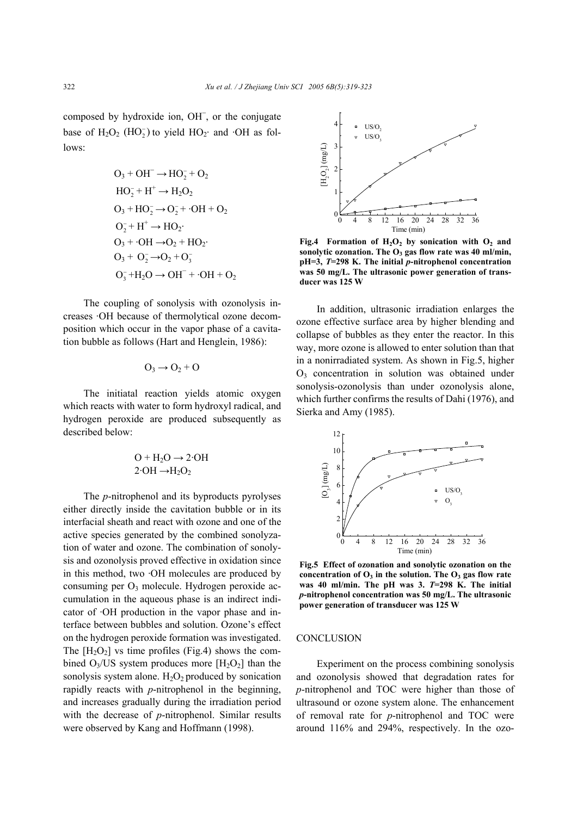composed by hydroxide ion, OH<sup>−</sup> , or the conjugate base of  $H_2O_2$  (HO<sub>2</sub>) to yield HO<sub>2</sub>· and ·OH as follows:

$$
O_3 + OH^- \rightarrow HO_2^- + O_2
$$
  
\n
$$
HO_2^- + H^+ \rightarrow H_2O_2
$$
  
\n
$$
O_3 + HO_2^- \rightarrow O_2^- + \cdot OH + O_2
$$
  
\n
$$
O_2^- + H^+ \rightarrow HO_2
$$
  
\n
$$
O_3 + \cdot OH \rightarrow O_2 + HO_2
$$
  
\n
$$
O_3 + O_2^- \rightarrow O_2 + O_3^-
$$
  
\n
$$
O_3^- + H_2O \rightarrow OH^- + \cdot OH + O_2
$$

The coupling of sonolysis with ozonolysis increases ·OH because of thermolytical ozone decomposition which occur in the vapor phase of a cavitation bubble as follows (Hart and Henglein, 1986):

$$
\mathrm{O}_3 \rightarrow \mathrm{O}_2 + \mathrm{O}
$$

The initiatal reaction yields atomic oxygen which reacts with water to form hydroxyl radical, and hydrogen peroxide are produced subsequently as described below:

$$
O + H_2O \rightarrow 2 OH
$$

$$
2 OH \rightarrow H_2O_2
$$

The *p*-nitrophenol and its byproducts pyrolyses either directly inside the cavitation bubble or in its interfacial sheath and react with ozone and one of the active species generated by the combined sonolyzation of water and ozone. The combination of sonolysis and ozonolysis proved effective in oxidation since in this method, two ·OH molecules are produced by consuming per  $O_3$  molecule. Hydrogen peroxide accumulation in the aqueous phase is an indirect indicator of ·OH production in the vapor phase and interface between bubbles and solution. Ozone's effect on the hydrogen peroxide formation was investigated. The  $[H_2O_2]$  vs time profiles (Fig.4) shows the combined  $O_3/US$  system produces more  $[H_2O_2]$  than the sonolysis system alone.  $H_2O_2$  produced by sonication rapidly reacts with *p*-nitrophenol in the beginning, and increases gradually during the irradiation period with the decrease of *p*-nitrophenol. Similar results were observed by Kang and Hoffmann (1998).



Fig.4 Formation of  $H_2O_2$  by sonication with  $O_2$  and sonolytic ozonation. The O<sub>3</sub> gas flow rate was 40 ml/min, **pH=3,** *T***=298 K. The initial** *p***-nitrophenol concentration was 50 mg/L. The ultrasonic power generation of transducer was 125 W**

In addition, ultrasonic irradiation enlarges the ozone effective surface area by higher blending and collapse of bubbles as they enter the reactor. In this way, more ozone is allowed to enter solution than that in a nonirradiated system. As shown in Fig.5, higher O3 concentration in solution was obtained under sonolysis-ozonolysis than under ozonolysis alone, which further confirms the results of Dahi (1976), and Sierka and Amy (1985).



**Fig.5 Effect of ozonation and sonolytic ozonation on the**  concentration of O<sub>3</sub> in the solution. The O<sub>3</sub> gas flow rate **was 40 ml/min. The pH was 3.** *T***=298 K. The initial**  *p***-nitrophenol concentration was 50 mg/L. The ultrasonic power generation of transducer was 125 W**

#### **CONCLUSION**

Experiment on the process combining sonolysis and ozonolysis showed that degradation rates for *p*-nitrophenol and TOC were higher than those of ultrasound or ozone system alone. The enhancement of removal rate for *p*-nitrophenol and TOC were around 116% and 294%, respectively. In the ozo